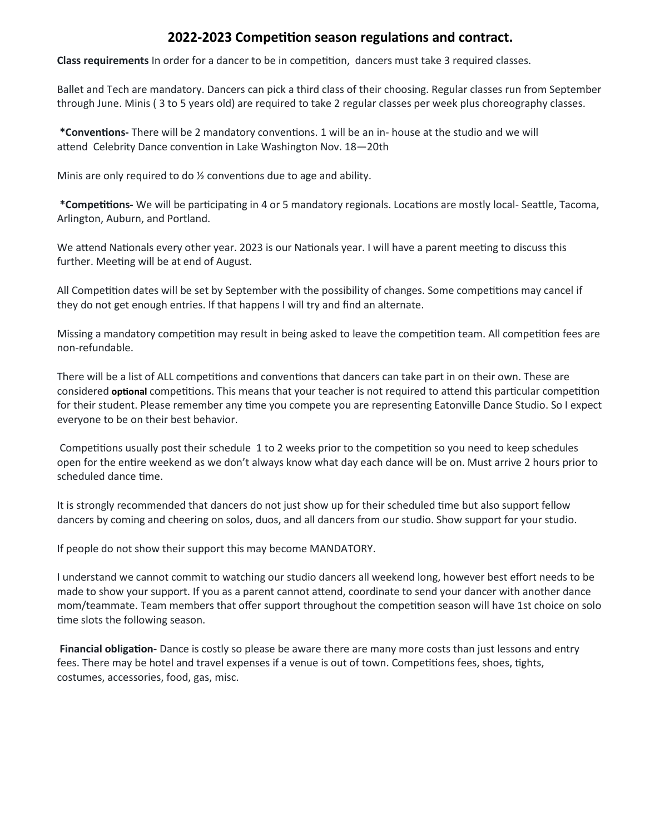## **2022-2023 Competition season regulations and contract.**

**Class requirements** In order for a dancer to be in competition, dancers must take 3 required classes.

Ballet and Tech are mandatory. Dancers can pick a third class of their choosing. Regular classes run from September through June. Minis ( 3 to 5 years old) are required to take 2 regular classes per week plus choreography classes.

**\*Conventions-** There will be 2 mandatory conventions. 1 will be an in- house at the studio and we will attend Celebrity Dance convention in Lake Washington Nov. 18—20th

Minis are only required to do ½ conventions due to age and ability.

**\*Competitions-** We will be participating in 4 or 5 mandatory regionals. Locations are mostly local- Seattle, Tacoma, Arlington, Auburn, and Portland.

We attend Nationals every other year. 2023 is our Nationals year. I will have a parent meeting to discuss this further. Meeting will be at end of August.

All Competition dates will be set by September with the possibility of changes. Some competitions may cancel if they do not get enough entries. If that happens I will try and find an alternate.

Missing a mandatory competition may result in being asked to leave the competition team. All competition fees are non-refundable.

There will be a list of ALL competitions and conventions that dancers can take part in on their own. These are considered **optional** competitions. This means that your teacher is not required to attend this particular competition for their student. Please remember any time you compete you are representing Eatonville Dance Studio. So I expect everyone to be on their best behavior.

Competitions usually post their schedule 1 to 2 weeks prior to the competition so you need to keep schedules open for the entire weekend as we don't always know what day each dance will be on. Must arrive 2 hours prior to scheduled dance time.

It is strongly recommended that dancers do not just show up for their scheduled time but also support fellow dancers by coming and cheering on solos, duos, and all dancers from our studio. Show support for your studio.

If people do not show their support this may become MANDATORY.

I understand we cannot commit to watching our studio dancers all weekend long, however best effort needs to be made to show your support. If you as a parent cannot attend, coordinate to send your dancer with another dance mom/teammate. Team members that offer support throughout the competition season will have 1st choice on solo time slots the following season.

**Financial obligation-** Dance is costly so please be aware there are many more costs than just lessons and entry fees. There may be hotel and travel expenses if a venue is out of town. Competitions fees, shoes, tights, costumes, accessories, food, gas, misc.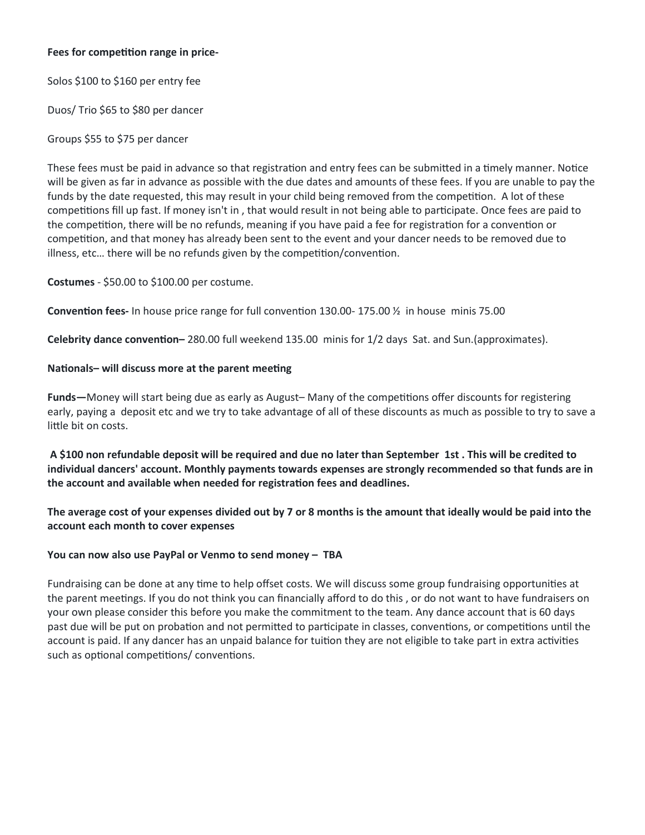#### **Fees for competition range in price-**

Solos \$100 to \$160 per entry fee

Duos/ Trio \$65 to \$80 per dancer

### Groups \$55 to \$75 per dancer

These fees must be paid in advance so that registration and entry fees can be submitted in a timely manner. Notice will be given as far in advance as possible with the due dates and amounts of these fees. If you are unable to pay the funds by the date requested, this may result in your child being removed from the competition. A lot of these competitions fill up fast. If money isn't in , that would result in not being able to participate. Once fees are paid to the competition, there will be no refunds, meaning if you have paid a fee for registration for a convention or competition, and that money has already been sent to the event and your dancer needs to be removed due to illness, etc… there will be no refunds given by the competition/convention.

**Costumes** - \$50.00 to \$100.00 per costume.

**Convention fees-** In house price range for full convention 130.00- 175.00 ½ in house minis 75.00

**Celebrity dance convention–** 280.00 full weekend 135.00 minis for 1/2 days Sat. and Sun.(approximates).

### **Nationals– will discuss more at the parent meeting**

**Funds—**Money will start being due as early as August– Many of the competitions offer discounts for registering early, paying a deposit etc and we try to take advantage of all of these discounts as much as possible to try to save a little bit on costs.

**A \$100 non refundable deposit will be required and due no later than September 1st . This will be credited to individual dancers' account. Monthly payments towards expenses are strongly recommended so that funds are in the account and available when needed for registration fees and deadlines.**

**The average cost of your expenses divided out by 7 or 8 months is the amount that ideally would be paid into the account each month to cover expenses**

### **You can now also use PayPal or Venmo to send money – TBA**

Fundraising can be done at any time to help offset costs. We will discuss some group fundraising opportunities at the parent meetings. If you do not think you can financially afford to do this , or do not want to have fundraisers on your own please consider this before you make the commitment to the team. Any dance account that is 60 days past due will be put on probation and not permitted to participate in classes, conventions, or competitions until the account is paid. If any dancer has an unpaid balance for tuition they are not eligible to take part in extra activities such as optional competitions/ conventions.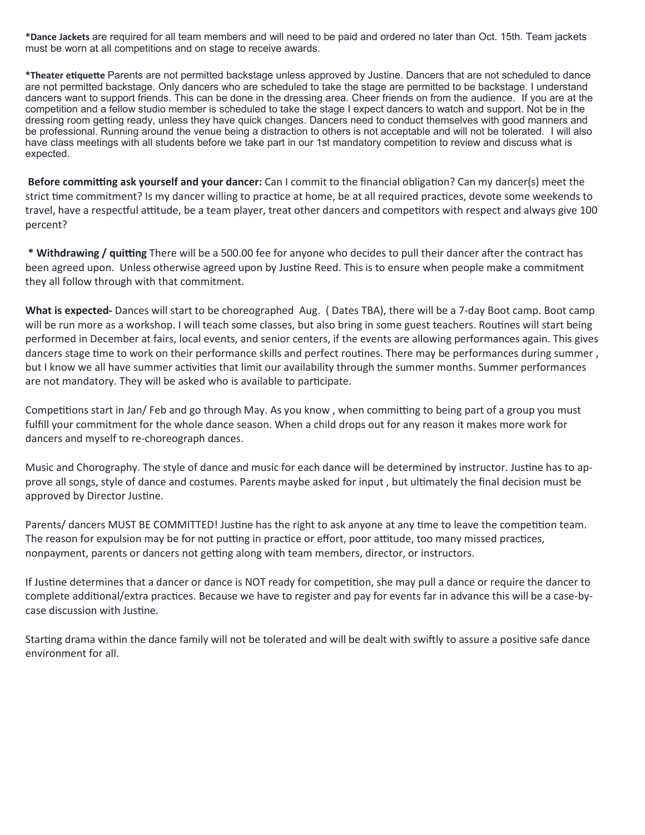**\*Dance Jackets** are required for all team members and will need to be paid and ordered no later than Oct. 15th. Team jackets must be worn at all competitions and on stage to receive awards.

**\*Theater etiquette** Parents are not permitted backstage unless approved by Justine. Dancers that are not scheduled to dance are not permitted backstage. Only dancers who are scheduled to take the stage are permitted to be backstage. I understand dancers want to support friends. This can be done in the dressing area. Cheer friends on from the audience. If you are at the competition and a fellow studio member is scheduled to take the stage I expect dancers to watch and support. Not be in the dressing room getting ready, unless they have quick changes. Dancers need to conduct themselves with good manners and be professional. Running around the venue being a distraction to others is not acceptable and will not be tolerated. I will also have class meetings with all students before we take part in our 1st mandatory competition to review and discuss what is expected.

**Before committing ask yourself and your dancer:** Can I commit to the financial obligation? Can my dancer(s) meet the strict time commitment? Is my dancer willing to practice at home, be at all required practices, devote some weekends to travel, have a respectful attitude, be a team player, treat other dancers and competitors with respect and always give 100 percent?

**\* Withdrawing / quitting** There will be a 500.00 fee for anyone who decides to pull their dancer after the contract has been agreed upon. Unless otherwise agreed upon by Justine Reed. This is to ensure when people make a commitment they all follow through with that commitment.

**What is expected-** Dances will start to be choreographed Aug. ( Dates TBA), there will be a 7-day Boot camp. Boot camp will be run more as a workshop. I will teach some classes, but also bring in some guest teachers. Routines will start being performed in December at fairs, local events, and senior centers, if the events are allowing performances again. This gives dancers stage time to work on their performance skills and perfect routines. There may be performances during summer, but I know we all have summer activities that limit our availability through the summer months. Summer performances are not mandatory. They will be asked who is available to participate.

Competitions start in Jan/ Feb and go through May. As you know , when committing to being part of a group you must fulfill your commitment for the whole dance season. When a child drops out for any reason it makes more work for dancers and myself to re-choreograph dances.

Music and Chorography. The style of dance and music for each dance will be determined by instructor. Justine has to approve all songs, style of dance and costumes. Parents maybe asked for input , but ultimately the final decision must be approved by Director Justine.

Parents/ dancers MUST BE COMMITTED! Justine has the right to ask anyone at any time to leave the competition team. The reason for expulsion may be for not putting in practice or effort, poor attitude, too many missed practices, nonpayment, parents or dancers not getting along with team members, director, or instructors.

If Justine determines that a dancer or dance is NOT ready for competition, she may pull a dance or require the dancer to complete additional/extra practices. Because we have to register and pay for events far in advance this will be a case-bycase discussion with Justine.

Starting drama within the dance family will not be tolerated and will be dealt with swiftly to assure a positive safe dance environment for all.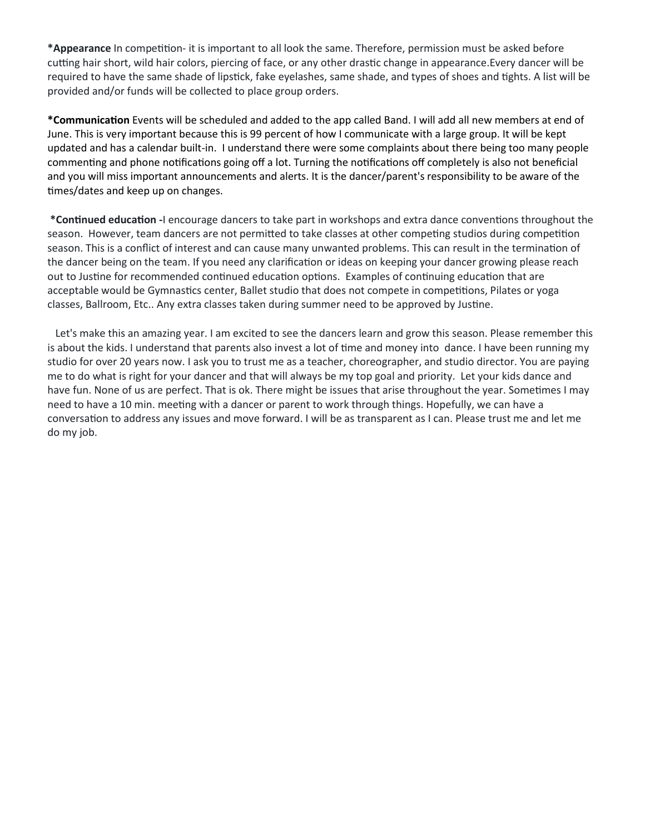**\*Appearance** In competition- it is important to all look the same. Therefore, permission must be asked before cutting hair short, wild hair colors, piercing of face, or any other drastic change in appearance.Every dancer will be required to have the same shade of lipstick, fake eyelashes, same shade, and types of shoes and tights. A list will be provided and/or funds will be collected to place group orders.

**\*Communication** Events will be scheduled and added to the app called Band. I will add all new members at end of June. This is very important because this is 99 percent of how I communicate with a large group. It will be kept updated and has a calendar built-in. I understand there were some complaints about there being too many people commenting and phone notifications going off a lot. Turning the notifications off completely is also not beneficial and you will miss important announcements and alerts. It is the dancer/parent's responsibility to be aware of the times/dates and keep up on changes.

**\*Continued education -**I encourage dancers to take part in workshops and extra dance conventions throughout the season. However, team dancers are not permitted to take classes at other competing studios during competition season. This is a conflict of interest and can cause many unwanted problems. This can result in the termination of the dancer being on the team. If you need any clarification or ideas on keeping your dancer growing please reach out to Justine for recommended continued education options. Examples of continuing education that are acceptable would be Gymnastics center, Ballet studio that does not compete in competitions, Pilates or yoga classes, Ballroom, Etc.. Any extra classes taken during summer need to be approved by Justine.

 Let's make this an amazing year. I am excited to see the dancers learn and grow this season. Please remember this is about the kids. I understand that parents also invest a lot of time and money into dance. I have been running my studio for over 20 years now. I ask you to trust me as a teacher, choreographer, and studio director. You are paying me to do what is right for your dancer and that will always be my top goal and priority. Let your kids dance and have fun. None of us are perfect. That is ok. There might be issues that arise throughout the year. Sometimes I may need to have a 10 min. meeting with a dancer or parent to work through things. Hopefully, we can have a conversation to address any issues and move forward. I will be as transparent as I can. Please trust me and let me do my job.